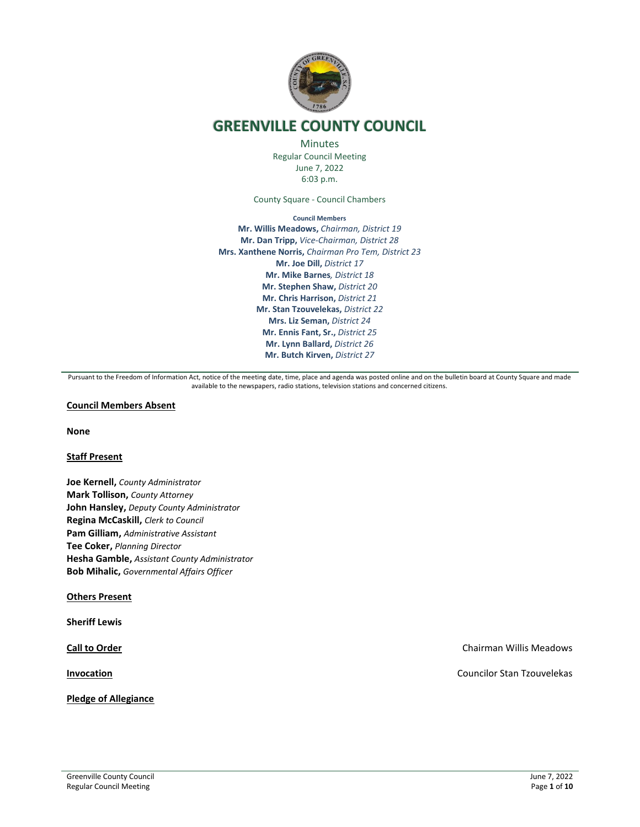

# **GREENVILLE COUNTY COUNCIL**

**Minutes** Regular Council Meeting June 7, 2022 6:03 p.m.

County Square - Council Chambers

**Council Members Mr. Willis Meadows,** *Chairman, District 19* **Mr. Dan Tripp,** *Vice-Chairman, District 28* **Mrs. Xanthene Norris,** *Chairman Pro Tem, District 23* **Mr. Joe Dill,** *District 17* **Mr. Mike Barnes***, District 18* **Mr. Stephen Shaw,** *District 20* **Mr. Chris Harrison,** *District 21* **Mr. Stan Tzouvelekas,** *District 22* **Mrs. Liz Seman,** *District 24* **Mr. Ennis Fant, Sr.,** *District 25* **Mr. Lynn Ballard,** *District 26* **Mr. Butch Kirven,** *District 27*

Pursuant to the Freedom of Information Act, notice of the meeting date, time, place and agenda was posted online and on the bulletin board at County Square and made available to the newspapers, radio stations, television stations and concerned citizens.

## **Council Members Absent**

**None**

# **Staff Present**

**Joe Kernell,** *County Administrator* **Mark Tollison,** *County Attorney* **John Hansley,** *Deputy County Administrator* **Regina McCaskill,** *Clerk to Council* **Pam Gilliam,** *Administrative Assistant* **Tee Coker,** *Planning Director* **Hesha Gamble,** *Assistant County Administrator* **Bob Mihalic,** *Governmental Affairs Officer*

#### **Others Present**

**Sheriff Lewis**

**Pledge of Allegiance**

**Call to Order** Chairman Willis Meadows **Chairman Willis Meadows Chairman Willis Meadows** 

**Invocation Invocation Councilor Stan Tzouvelekas**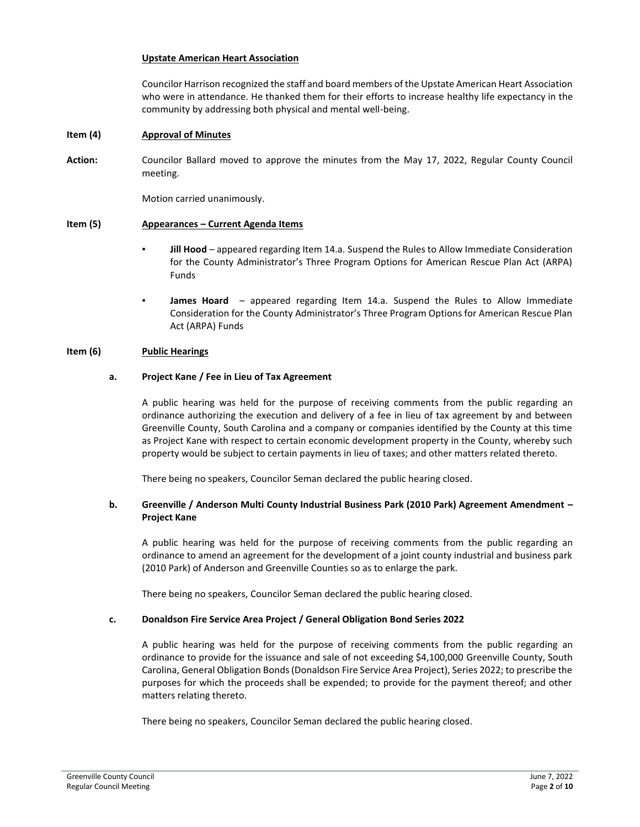# **Upstate American Heart Association**

Councilor Harrison recognized the staff and board members of the Upstate American Heart Association who were in attendance. He thanked them for their efforts to increase healthy life expectancy in the community by addressing both physical and mental well-being.

## **Item (4) Approval of Minutes**

**Action:** Councilor Ballard moved to approve the minutes from the May 17, 2022, Regular County Council meeting.

Motion carried unanimously.

## **Item (5) Appearances – Current Agenda Items**

- **Jill Hood** appeared regarding Item 14.a. Suspend the Rules to Allow Immediate Consideration for the County Administrator's Three Program Options for American Rescue Plan Act (ARPA) Funds
- **James Hoard** appeared regarding Item 14.a. Suspend the Rules to Allow Immediate Consideration for the County Administrator's Three Program Options for American Rescue Plan Act (ARPA) Funds

## **Item (6) Public Hearings**

## **a. Project Kane / Fee in Lieu of Tax Agreement**

A public hearing was held for the purpose of receiving comments from the public regarding an ordinance authorizing the execution and delivery of a fee in lieu of tax agreement by and between Greenville County, South Carolina and a company or companies identified by the County at this time as Project Kane with respect to certain economic development property in the County, whereby such property would be subject to certain payments in lieu of taxes; and other matters related thereto.

There being no speakers, Councilor Seman declared the public hearing closed.

# **b. Greenville / Anderson Multi County Industrial Business Park (2010 Park) Agreement Amendment – Project Kane**

A public hearing was held for the purpose of receiving comments from the public regarding an ordinance to amend an agreement for the development of a joint county industrial and business park (2010 Park) of Anderson and Greenville Counties so as to enlarge the park.

There being no speakers, Councilor Seman declared the public hearing closed.

# **c. Donaldson Fire Service Area Project / General Obligation Bond Series 2022**

A public hearing was held for the purpose of receiving comments from the public regarding an ordinance to provide for the issuance and sale of not exceeding \$4,100,000 Greenville County, South Carolina, General Obligation Bonds (Donaldson Fire Service Area Project), Series 2022; to prescribe the purposes for which the proceeds shall be expended; to provide for the payment thereof; and other matters relating thereto.

There being no speakers, Councilor Seman declared the public hearing closed.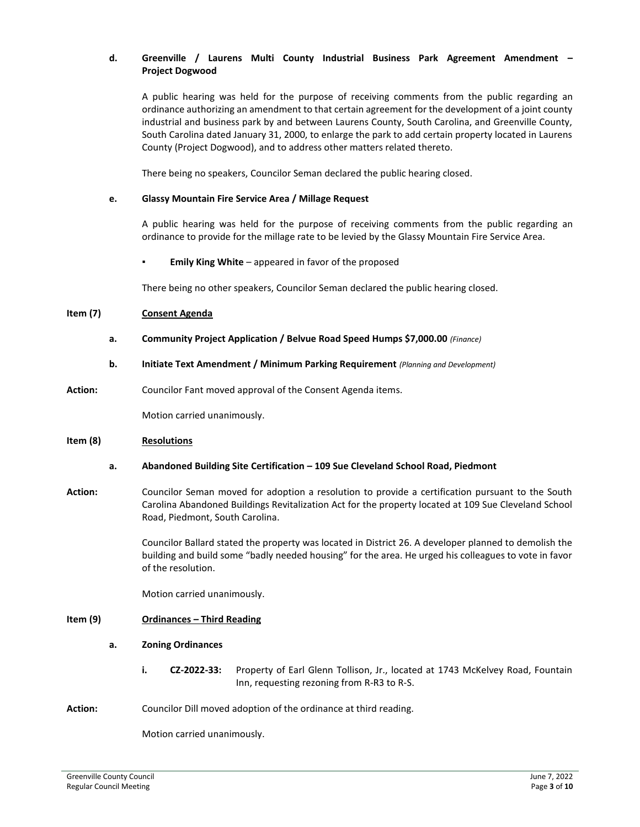# **d. Greenville / Laurens Multi County Industrial Business Park Agreement Amendment – Project Dogwood**

A public hearing was held for the purpose of receiving comments from the public regarding an ordinance authorizing an amendment to that certain agreement for the development of a joint county industrial and business park by and between Laurens County, South Carolina, and Greenville County, South Carolina dated January 31, 2000, to enlarge the park to add certain property located in Laurens County (Project Dogwood), and to address other matters related thereto.

There being no speakers, Councilor Seman declared the public hearing closed.

## **e. Glassy Mountain Fire Service Area / Millage Request**

A public hearing was held for the purpose of receiving comments from the public regarding an ordinance to provide for the millage rate to be levied by the Glassy Mountain Fire Service Area.

**Emily King White** – appeared in favor of the proposed

There being no other speakers, Councilor Seman declared the public hearing closed.

# **Item (7) Consent Agenda**

- **a. Community Project Application / Belvue Road Speed Humps \$7,000.00** *(Finance)*
- **b. Initiate Text Amendment / Minimum Parking Requirement** *(Planning and Development)*
- Action: Councilor Fant moved approval of the Consent Agenda items.

Motion carried unanimously.

#### **Item (8) Resolutions**

#### **a. Abandoned Building Site Certification – 109 Sue Cleveland School Road, Piedmont**

**Action:** Councilor Seman moved for adoption a resolution to provide a certification pursuant to the South Carolina Abandoned Buildings Revitalization Act for the property located at 109 Sue Cleveland School Road, Piedmont, South Carolina.

> Councilor Ballard stated the property was located in District 26. A developer planned to demolish the building and build some "badly needed housing" for the area. He urged his colleagues to vote in favor of the resolution.

Motion carried unanimously.

# **Item (9) Ordinances – Third Reading**

#### **a. Zoning Ordinances**

- **i. CZ-2022-33:** Property of Earl Glenn Tollison, Jr., located at 1743 McKelvey Road, Fountain Inn, requesting rezoning from R-R3 to R-S.
- **Action:** Councilor Dill moved adoption of the ordinance at third reading.

Motion carried unanimously.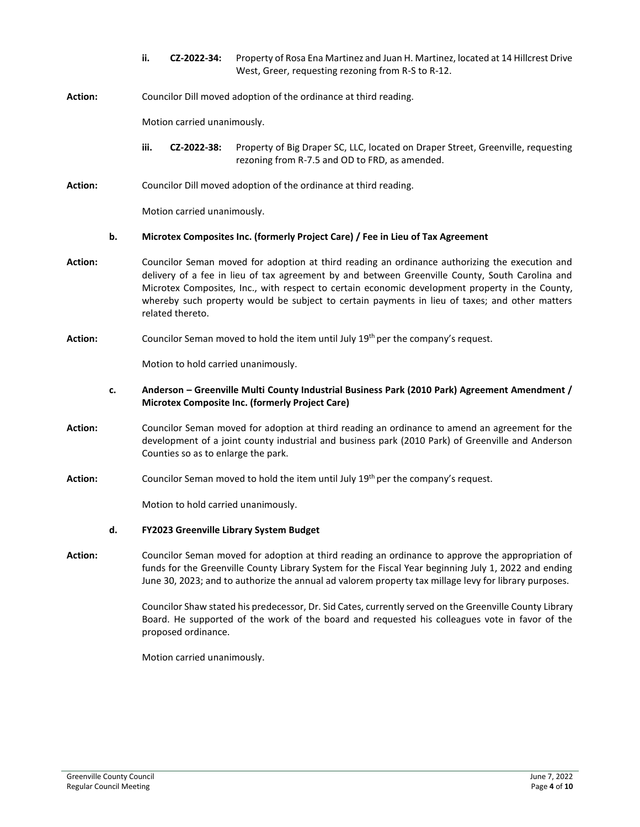- **ii. CZ-2022-34:** Property of Rosa Ena Martinez and Juan H. Martinez, located at 14 Hillcrest Drive West, Greer, requesting rezoning from R-S to R-12.
- **Action:** Councilor Dill moved adoption of the ordinance at third reading.

Motion carried unanimously.

- **iii. CZ-2022-38:** Property of Big Draper SC, LLC, located on Draper Street, Greenville, requesting rezoning from R-7.5 and OD to FRD, as amended.
- **Action:** Councilor Dill moved adoption of the ordinance at third reading.

Motion carried unanimously.

## **b. Microtex Composites Inc. (formerly Project Care) / Fee in Lieu of Tax Agreement**

- **Action:** Councilor Seman moved for adoption at third reading an ordinance authorizing the execution and delivery of a fee in lieu of tax agreement by and between Greenville County, South Carolina and Microtex Composites, Inc., with respect to certain economic development property in the County, whereby such property would be subject to certain payments in lieu of taxes; and other matters related thereto.
- Action: Councilor Seman moved to hold the item until July 19<sup>th</sup> per the company's request.

Motion to hold carried unanimously.

- **c. Anderson – Greenville Multi County Industrial Business Park (2010 Park) Agreement Amendment / Microtex Composite Inc. (formerly Project Care)**
- **Action:** Councilor Seman moved for adoption at third reading an ordinance to amend an agreement for the development of a joint county industrial and business park (2010 Park) of Greenville and Anderson Counties so as to enlarge the park.
- Action: Councilor Seman moved to hold the item until July 19<sup>th</sup> per the company's request.

Motion to hold carried unanimously.

# **d. FY2023 Greenville Library System Budget**

Action: Councilor Seman moved for adoption at third reading an ordinance to approve the appropriation of funds for the Greenville County Library System for the Fiscal Year beginning July 1, 2022 and ending June 30, 2023; and to authorize the annual ad valorem property tax millage levy for library purposes.

> Councilor Shaw stated his predecessor, Dr. Sid Cates, currently served on the Greenville County Library Board. He supported of the work of the board and requested his colleagues vote in favor of the proposed ordinance.

Motion carried unanimously.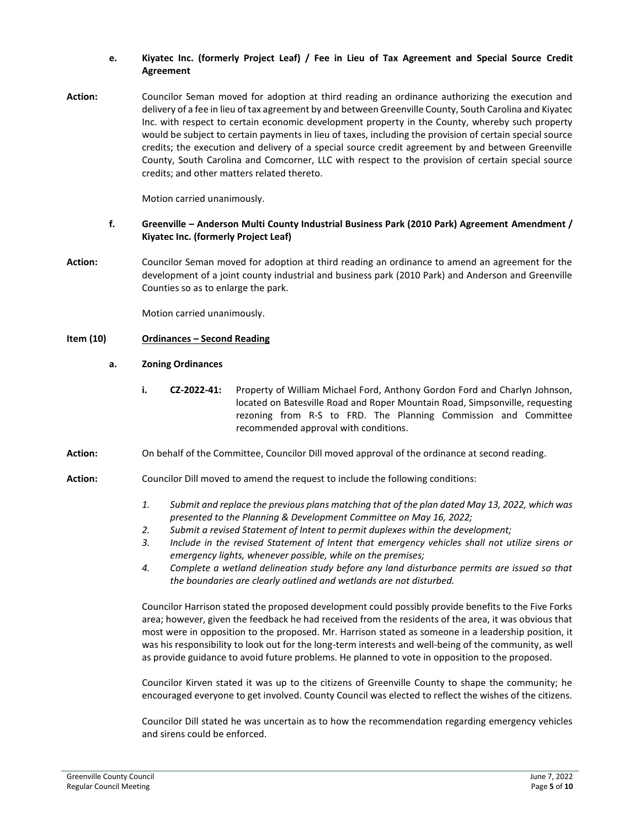# **e. Kiyatec Inc. (formerly Project Leaf) / Fee in Lieu of Tax Agreement and Special Source Credit Agreement**

**Action:** Councilor Seman moved for adoption at third reading an ordinance authorizing the execution and delivery of a fee in lieu of tax agreement by and between Greenville County, South Carolina and Kiyatec Inc. with respect to certain economic development property in the County, whereby such property would be subject to certain payments in lieu of taxes, including the provision of certain special source credits; the execution and delivery of a special source credit agreement by and between Greenville County, South Carolina and Comcorner, LLC with respect to the provision of certain special source credits; and other matters related thereto.

Motion carried unanimously.

# **f. Greenville – Anderson Multi County Industrial Business Park (2010 Park) Agreement Amendment / Kiyatec Inc. (formerly Project Leaf)**

**Action:** Councilor Seman moved for adoption at third reading an ordinance to amend an agreement for the development of a joint county industrial and business park (2010 Park) and Anderson and Greenville Counties so as to enlarge the park.

Motion carried unanimously.

# **Item (10) Ordinances – Second Reading**

# **a. Zoning Ordinances**

- **i. CZ-2022-41:** Property of William Michael Ford, Anthony Gordon Ford and Charlyn Johnson, located on Batesville Road and Roper Mountain Road, Simpsonville, requesting rezoning from R-S to FRD. The Planning Commission and Committee recommended approval with conditions.
- **Action:** On behalf of the Committee, Councilor Dill moved approval of the ordinance at second reading.
- **Action:** Councilor Dill moved to amend the request to include the following conditions:
	- *1. Submit and replace the previous plans matching that of the plan dated May 13, 2022, which was presented to the Planning & Development Committee on May 16, 2022;*
	- *2. Submit a revised Statement of Intent to permit duplexes within the development;*
	- *3. Include in the revised Statement of Intent that emergency vehicles shall not utilize sirens or emergency lights, whenever possible, while on the premises;*
	- *4. Complete a wetland delineation study before any land disturbance permits are issued so that the boundaries are clearly outlined and wetlands are not disturbed.*

Councilor Harrison stated the proposed development could possibly provide benefits to the Five Forks area; however, given the feedback he had received from the residents of the area, it was obvious that most were in opposition to the proposed. Mr. Harrison stated as someone in a leadership position, it was his responsibility to look out for the long-term interests and well-being of the community, as well as provide guidance to avoid future problems. He planned to vote in opposition to the proposed.

Councilor Kirven stated it was up to the citizens of Greenville County to shape the community; he encouraged everyone to get involved. County Council was elected to reflect the wishes of the citizens.

Councilor Dill stated he was uncertain as to how the recommendation regarding emergency vehicles and sirens could be enforced.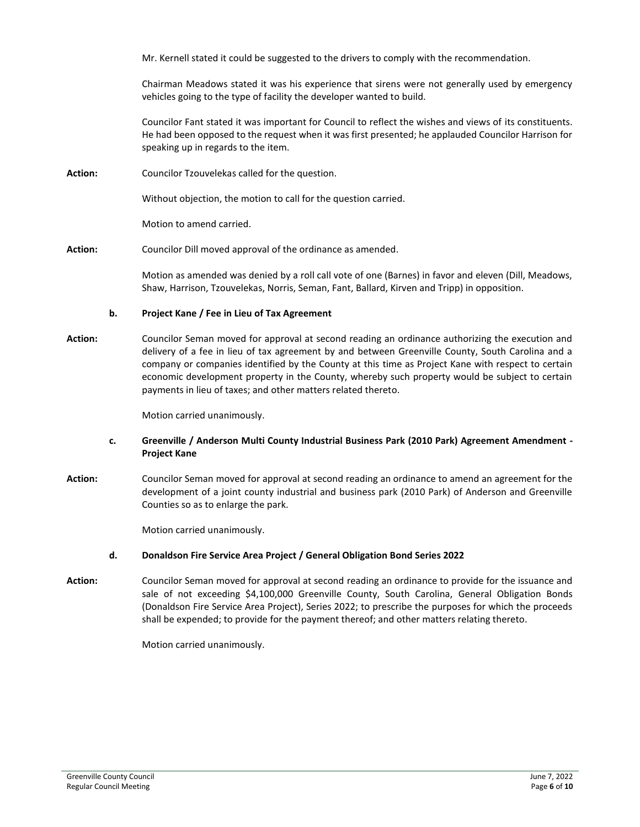Mr. Kernell stated it could be suggested to the drivers to comply with the recommendation.

Chairman Meadows stated it was his experience that sirens were not generally used by emergency vehicles going to the type of facility the developer wanted to build.

Councilor Fant stated it was important for Council to reflect the wishes and views of its constituents. He had been opposed to the request when it was first presented; he applauded Councilor Harrison for speaking up in regards to the item.

**Action:** Councilor Tzouvelekas called for the question.

Without objection, the motion to call for the question carried.

Motion to amend carried.

Action: Councilor Dill moved approval of the ordinance as amended.

Motion as amended was denied by a roll call vote of one (Barnes) in favor and eleven (Dill, Meadows, Shaw, Harrison, Tzouvelekas, Norris, Seman, Fant, Ballard, Kirven and Tripp) in opposition.

## **b. Project Kane / Fee in Lieu of Tax Agreement**

**Action:** Councilor Seman moved for approval at second reading an ordinance authorizing the execution and delivery of a fee in lieu of tax agreement by and between Greenville County, South Carolina and a company or companies identified by the County at this time as Project Kane with respect to certain economic development property in the County, whereby such property would be subject to certain payments in lieu of taxes; and other matters related thereto.

Motion carried unanimously.

- **c. Greenville / Anderson Multi County Industrial Business Park (2010 Park) Agreement Amendment - Project Kane**
- **Action:** Councilor Seman moved for approval at second reading an ordinance to amend an agreement for the development of a joint county industrial and business park (2010 Park) of Anderson and Greenville Counties so as to enlarge the park.

Motion carried unanimously.

#### **d. Donaldson Fire Service Area Project / General Obligation Bond Series 2022**

**Action:** Councilor Seman moved for approval at second reading an ordinance to provide for the issuance and sale of not exceeding \$4,100,000 Greenville County, South Carolina, General Obligation Bonds (Donaldson Fire Service Area Project), Series 2022; to prescribe the purposes for which the proceeds shall be expended; to provide for the payment thereof; and other matters relating thereto.

Motion carried unanimously.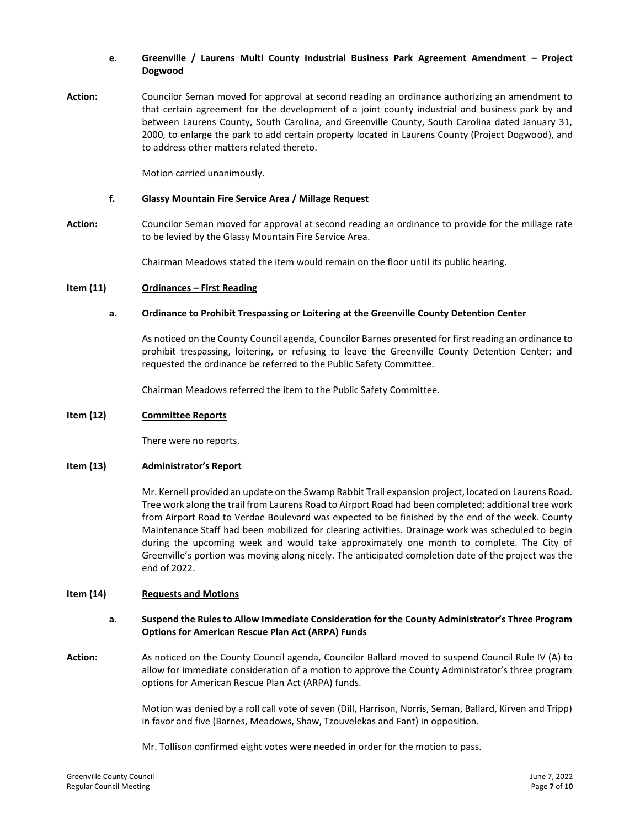# **e. Greenville / Laurens Multi County Industrial Business Park Agreement Amendment – Project Dogwood**

**Action:** Councilor Seman moved for approval at second reading an ordinance authorizing an amendment to that certain agreement for the development of a joint county industrial and business park by and between Laurens County, South Carolina, and Greenville County, South Carolina dated January 31, 2000, to enlarge the park to add certain property located in Laurens County (Project Dogwood), and to address other matters related thereto.

Motion carried unanimously.

## **f. Glassy Mountain Fire Service Area / Millage Request**

**Action:** Councilor Seman moved for approval at second reading an ordinance to provide for the millage rate to be levied by the Glassy Mountain Fire Service Area.

Chairman Meadows stated the item would remain on the floor until its public hearing.

## **Item (11) Ordinances – First Reading**

## **a. Ordinance to Prohibit Trespassing or Loitering at the Greenville County Detention Center**

As noticed on the County Council agenda, Councilor Barnes presented for first reading an ordinance to prohibit trespassing, loitering, or refusing to leave the Greenville County Detention Center; and requested the ordinance be referred to the Public Safety Committee.

Chairman Meadows referred the item to the Public Safety Committee.

#### **Item (12) Committee Reports**

There were no reports.

#### **Item (13) Administrator's Report**

Mr. Kernell provided an update on the Swamp Rabbit Trail expansion project, located on Laurens Road. Tree work along the trail from Laurens Road to Airport Road had been completed; additional tree work from Airport Road to Verdae Boulevard was expected to be finished by the end of the week. County Maintenance Staff had been mobilized for clearing activities. Drainage work was scheduled to begin during the upcoming week and would take approximately one month to complete. The City of Greenville's portion was moving along nicely. The anticipated completion date of the project was the end of 2022.

# **Item (14) Requests and Motions**

## **a. Suspend the Rules to Allow Immediate Consideration for the County Administrator's Three Program Options for American Rescue Plan Act (ARPA) Funds**

**Action:** As noticed on the County Council agenda, Councilor Ballard moved to suspend Council Rule IV (A) to allow for immediate consideration of a motion to approve the County Administrator's three program options for American Rescue Plan Act (ARPA) funds.

> Motion was denied by a roll call vote of seven (Dill, Harrison, Norris, Seman, Ballard, Kirven and Tripp) in favor and five (Barnes, Meadows, Shaw, Tzouvelekas and Fant) in opposition.

Mr. Tollison confirmed eight votes were needed in order for the motion to pass.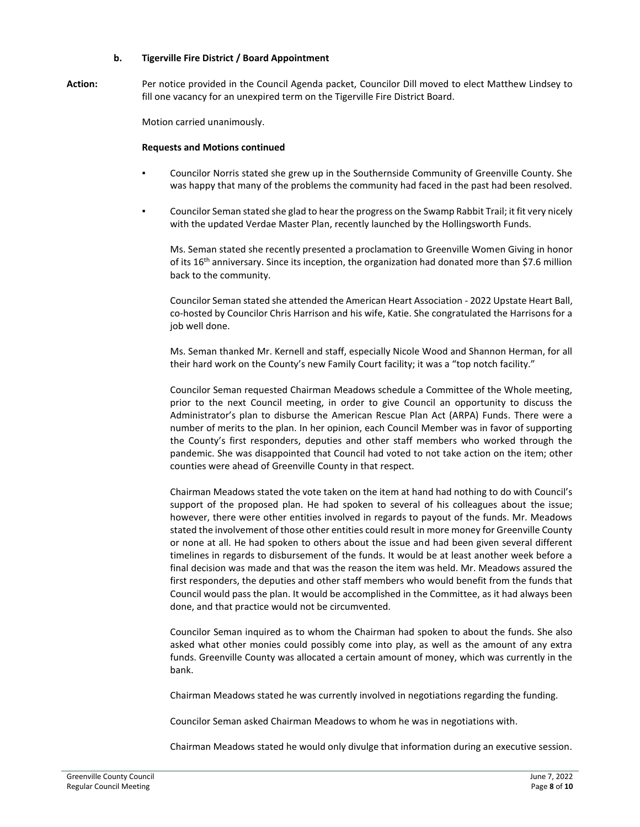## **b. Tigerville Fire District / Board Appointment**

**Action:** Per notice provided in the Council Agenda packet, Councilor Dill moved to elect Matthew Lindsey to fill one vacancy for an unexpired term on the Tigerville Fire District Board.

Motion carried unanimously.

#### **Requests and Motions continued**

- Councilor Norris stated she grew up in the Southernside Community of Greenville County. She was happy that many of the problems the community had faced in the past had been resolved.
- Councilor Seman stated she glad to hear the progress on the Swamp Rabbit Trail; it fit very nicely with the updated Verdae Master Plan, recently launched by the Hollingsworth Funds.

Ms. Seman stated she recently presented a proclamation to Greenville Women Giving in honor of its 16<sup>th</sup> anniversary. Since its inception, the organization had donated more than \$7.6 million back to the community.

Councilor Seman stated she attended the American Heart Association - 2022 Upstate Heart Ball, co-hosted by Councilor Chris Harrison and his wife, Katie. She congratulated the Harrisons for a job well done.

Ms. Seman thanked Mr. Kernell and staff, especially Nicole Wood and Shannon Herman, for all their hard work on the County's new Family Court facility; it was a "top notch facility."

Councilor Seman requested Chairman Meadows schedule a Committee of the Whole meeting, prior to the next Council meeting, in order to give Council an opportunity to discuss the Administrator's plan to disburse the American Rescue Plan Act (ARPA) Funds. There were a number of merits to the plan. In her opinion, each Council Member was in favor of supporting the County's first responders, deputies and other staff members who worked through the pandemic. She was disappointed that Council had voted to not take action on the item; other counties were ahead of Greenville County in that respect.

Chairman Meadows stated the vote taken on the item at hand had nothing to do with Council's support of the proposed plan. He had spoken to several of his colleagues about the issue; however, there were other entities involved in regards to payout of the funds. Mr. Meadows stated the involvement of those other entities could result in more money for Greenville County or none at all. He had spoken to others about the issue and had been given several different timelines in regards to disbursement of the funds. It would be at least another week before a final decision was made and that was the reason the item was held. Mr. Meadows assured the first responders, the deputies and other staff members who would benefit from the funds that Council would pass the plan. It would be accomplished in the Committee, as it had always been done, and that practice would not be circumvented.

Councilor Seman inquired as to whom the Chairman had spoken to about the funds. She also asked what other monies could possibly come into play, as well as the amount of any extra funds. Greenville County was allocated a certain amount of money, which was currently in the bank.

Chairman Meadows stated he was currently involved in negotiations regarding the funding.

Councilor Seman asked Chairman Meadows to whom he was in negotiations with.

Chairman Meadows stated he would only divulge that information during an executive session.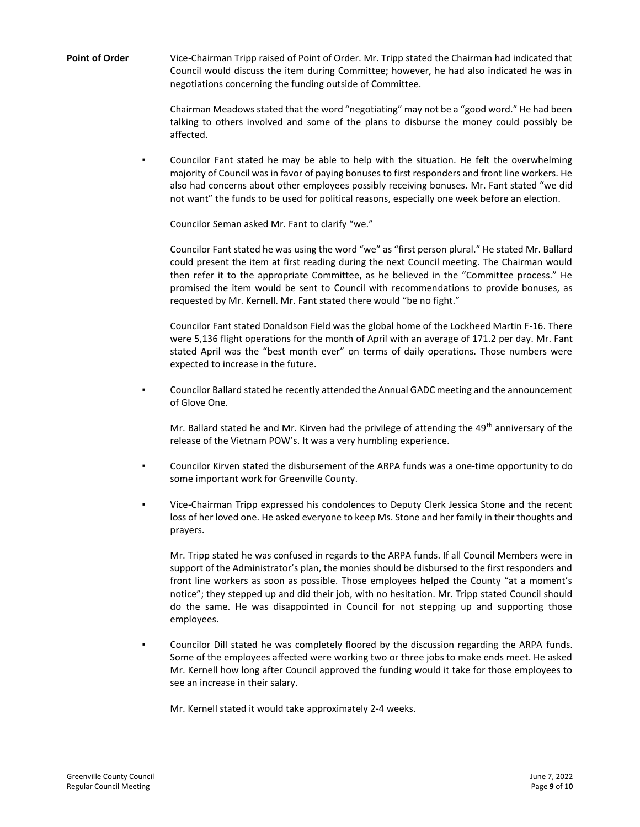**Point of Order** Vice-Chairman Tripp raised of Point of Order. Mr. Tripp stated the Chairman had indicated that Council would discuss the item during Committee; however, he had also indicated he was in negotiations concerning the funding outside of Committee.

> Chairman Meadows stated that the word "negotiating" may not be a "good word." He had been talking to others involved and some of the plans to disburse the money could possibly be affected.

Councilor Fant stated he may be able to help with the situation. He felt the overwhelming majority of Council was in favor of paying bonuses to first responders and front line workers. He also had concerns about other employees possibly receiving bonuses. Mr. Fant stated "we did not want" the funds to be used for political reasons, especially one week before an election.

Councilor Seman asked Mr. Fant to clarify "we."

Councilor Fant stated he was using the word "we" as "first person plural." He stated Mr. Ballard could present the item at first reading during the next Council meeting. The Chairman would then refer it to the appropriate Committee, as he believed in the "Committee process." He promised the item would be sent to Council with recommendations to provide bonuses, as requested by Mr. Kernell. Mr. Fant stated there would "be no fight."

Councilor Fant stated Donaldson Field was the global home of the Lockheed Martin F-16. There were 5,136 flight operations for the month of April with an average of 171.2 per day. Mr. Fant stated April was the "best month ever" on terms of daily operations. Those numbers were expected to increase in the future.

Councilor Ballard stated he recently attended the Annual GADC meeting and the announcement of Glove One.

Mr. Ballard stated he and Mr. Kirven had the privilege of attending the 49<sup>th</sup> anniversary of the release of the Vietnam POW's. It was a very humbling experience.

- Councilor Kirven stated the disbursement of the ARPA funds was a one-time opportunity to do some important work for Greenville County.
- Vice-Chairman Tripp expressed his condolences to Deputy Clerk Jessica Stone and the recent loss of her loved one. He asked everyone to keep Ms. Stone and her family in their thoughts and prayers.

Mr. Tripp stated he was confused in regards to the ARPA funds. If all Council Members were in support of the Administrator's plan, the monies should be disbursed to the first responders and front line workers as soon as possible. Those employees helped the County "at a moment's notice"; they stepped up and did their job, with no hesitation. Mr. Tripp stated Council should do the same. He was disappointed in Council for not stepping up and supporting those employees.

Councilor Dill stated he was completely floored by the discussion regarding the ARPA funds. Some of the employees affected were working two or three jobs to make ends meet. He asked Mr. Kernell how long after Council approved the funding would it take for those employees to see an increase in their salary.

Mr. Kernell stated it would take approximately 2-4 weeks.